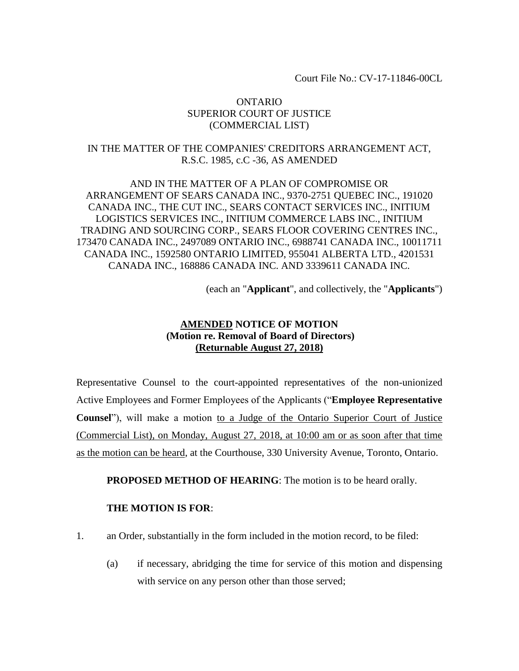Court File No.: CV-17-11846-00CL

## ONTARIO SUPERIOR COURT OF JUSTICE (COMMERCIAL LIST)

## IN THE MATTER OF THE COMPANIES' CREDITORS ARRANGEMENT ACT, R.S.C. 1985, c.C -36, AS AMENDED

AND IN THE MATTER OF A PLAN OF COMPROMISE OR ARRANGEMENT OF SEARS CANADA INC., 9370-2751 QUEBEC INC., 191020 CANADA INC., THE CUT INC., SEARS CONTACT SERVICES INC., INITIUM LOGISTICS SERVICES INC., INITIUM COMMERCE LABS INC., INITIUM TRADING AND SOURCING CORP., SEARS FLOOR COVERING CENTRES INC., 173470 CANADA INC., 2497089 ONTARIO INC., 6988741 CANADA INC., 10011711 CANADA INC., 1592580 ONTARIO LIMITED, 955041 ALBERTA LTD., 4201531 CANADA INC., 168886 CANADA INC. AND 3339611 CANADA INC.

(each an "**Applicant**", and collectively, the "**Applicants**")

## **AMENDED NOTICE OF MOTION (Motion re. Removal of Board of Directors) (Returnable August 27, 2018)**

Representative Counsel to the court-appointed representatives of the non-unionized Active Employees and Former Employees of the Applicants ("**Employee Representative Counsel**"), will make a motion to a Judge of the Ontario Superior Court of Justice (Commercial List), on Monday, August 27, 2018, at 10:00 am or as soon after that time as the motion can be heard, at the Courthouse, 330 University Avenue, Toronto, Ontario.

**PROPOSED METHOD OF HEARING:** The motion is to be heard orally.

## **THE MOTION IS FOR**:

- 1. an Order, substantially in the form included in the motion record, to be filed:
	- (a) if necessary, abridging the time for service of this motion and dispensing with service on any person other than those served;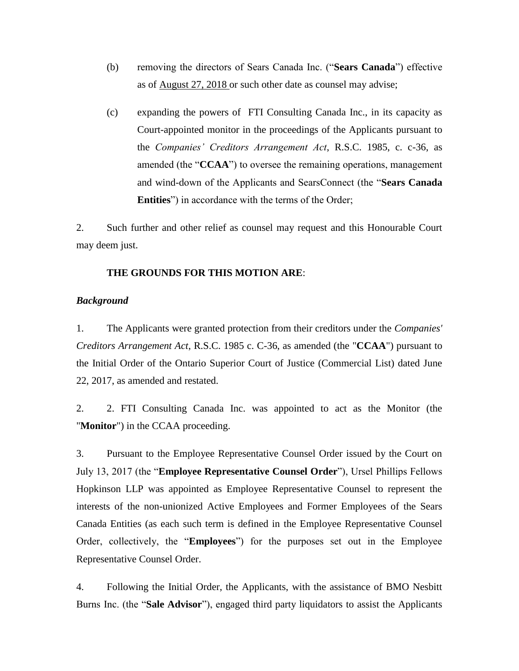- (b) removing the directors of Sears Canada Inc. ("**Sears Canada**") effective as of August 27, 2018 or such other date as counsel may advise;
- (c) expanding the powers of FTI Consulting Canada Inc., in its capacity as Court-appointed monitor in the proceedings of the Applicants pursuant to the *Companies' Creditors Arrangement Act*, R.S.C. 1985, c. c-36, as amended (the "**CCAA**") to oversee the remaining operations, management and wind-down of the Applicants and SearsConnect (the "**Sears Canada Entities**") in accordance with the terms of the Order;

2. Such further and other relief as counsel may request and this Honourable Court may deem just.

### **THE GROUNDS FOR THIS MOTION ARE**:

#### *Background*

1. The Applicants were granted protection from their creditors under the *Companies' Creditors Arrangement Act*, R.S.C. 1985 c. C-36, as amended (the "**CCAA**") pursuant to the Initial Order of the Ontario Superior Court of Justice (Commercial List) dated June 22, 2017, as amended and restated.

2. 2. FTI Consulting Canada Inc. was appointed to act as the Monitor (the "**Monitor**") in the CCAA proceeding.

3. Pursuant to the Employee Representative Counsel Order issued by the Court on July 13, 2017 (the "**Employee Representative Counsel Order**"), Ursel Phillips Fellows Hopkinson LLP was appointed as Employee Representative Counsel to represent the interests of the non-unionized Active Employees and Former Employees of the Sears Canada Entities (as each such term is defined in the Employee Representative Counsel Order, collectively, the "**Employees**") for the purposes set out in the Employee Representative Counsel Order.

4. Following the Initial Order, the Applicants, with the assistance of BMO Nesbitt Burns Inc. (the "**Sale Advisor**"), engaged third party liquidators to assist the Applicants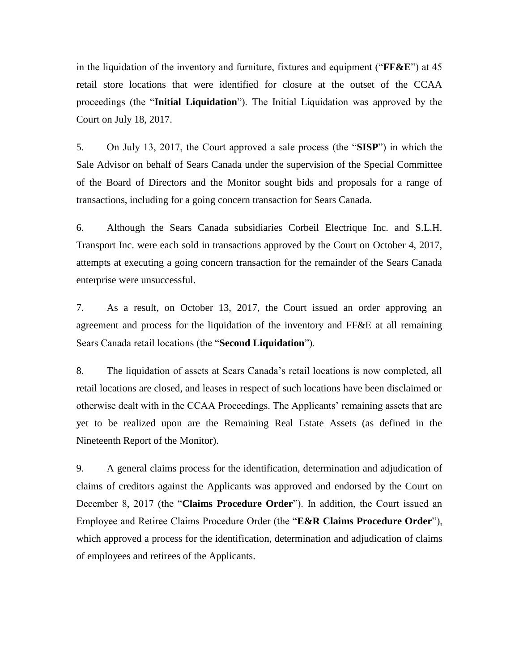in the liquidation of the inventory and furniture, fixtures and equipment ("**FF&E**") at 45 retail store locations that were identified for closure at the outset of the CCAA proceedings (the "**Initial Liquidation**"). The Initial Liquidation was approved by the Court on July 18, 2017.

5. On July 13, 2017, the Court approved a sale process (the "**SISP**") in which the Sale Advisor on behalf of Sears Canada under the supervision of the Special Committee of the Board of Directors and the Monitor sought bids and proposals for a range of transactions, including for a going concern transaction for Sears Canada.

6. Although the Sears Canada subsidiaries Corbeil Electrique Inc. and S.L.H. Transport Inc. were each sold in transactions approved by the Court on October 4, 2017, attempts at executing a going concern transaction for the remainder of the Sears Canada enterprise were unsuccessful.

7. As a result, on October 13, 2017, the Court issued an order approving an agreement and process for the liquidation of the inventory and FF&E at all remaining Sears Canada retail locations (the "**Second Liquidation**").

8. The liquidation of assets at Sears Canada's retail locations is now completed, all retail locations are closed, and leases in respect of such locations have been disclaimed or otherwise dealt with in the CCAA Proceedings. The Applicants' remaining assets that are yet to be realized upon are the Remaining Real Estate Assets (as defined in the Nineteenth Report of the Monitor).

9. A general claims process for the identification, determination and adjudication of claims of creditors against the Applicants was approved and endorsed by the Court on December 8, 2017 (the "**Claims Procedure Order**"). In addition, the Court issued an Employee and Retiree Claims Procedure Order (the "**E&R Claims Procedure Order**"), which approved a process for the identification, determination and adjudication of claims of employees and retirees of the Applicants.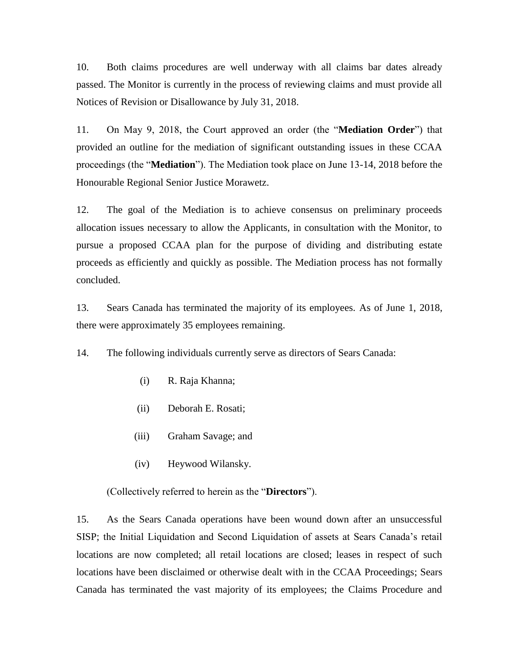10. Both claims procedures are well underway with all claims bar dates already passed. The Monitor is currently in the process of reviewing claims and must provide all Notices of Revision or Disallowance by July 31, 2018.

11. On May 9, 2018, the Court approved an order (the "**Mediation Order**") that provided an outline for the mediation of significant outstanding issues in these CCAA proceedings (the "**Mediation**"). The Mediation took place on June 13-14, 2018 before the Honourable Regional Senior Justice Morawetz.

12. The goal of the Mediation is to achieve consensus on preliminary proceeds allocation issues necessary to allow the Applicants, in consultation with the Monitor, to pursue a proposed CCAA plan for the purpose of dividing and distributing estate proceeds as efficiently and quickly as possible. The Mediation process has not formally concluded.

13. Sears Canada has terminated the majority of its employees. As of June 1, 2018, there were approximately 35 employees remaining.

14. The following individuals currently serve as directors of Sears Canada:

- (i) R. Raja Khanna;
- (ii) Deborah E. Rosati;
- (iii) Graham Savage; and
- (iv) Heywood Wilansky.

(Collectively referred to herein as the "**Directors**").

15. As the Sears Canada operations have been wound down after an unsuccessful SISP; the Initial Liquidation and Second Liquidation of assets at Sears Canada's retail locations are now completed; all retail locations are closed; leases in respect of such locations have been disclaimed or otherwise dealt with in the CCAA Proceedings; Sears Canada has terminated the vast majority of its employees; the Claims Procedure and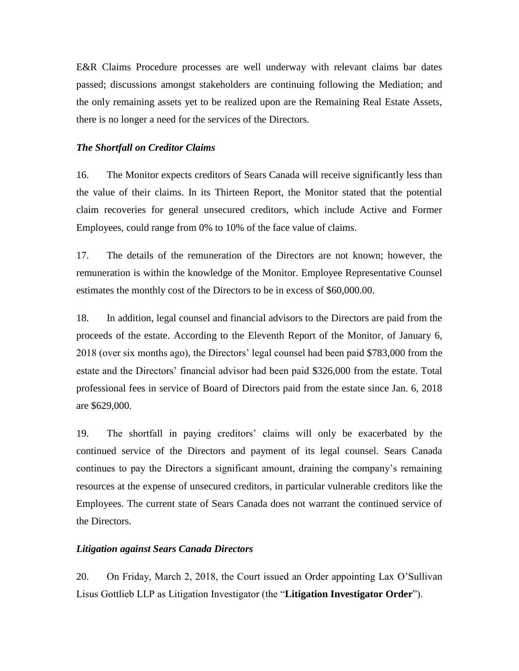E&R Claims Procedure processes are well underway with relevant claims bar dates passed; discussions amongst stakeholders are continuing following the Mediation; and the only remaining assets yet to be realized upon are the Remaining Real Estate Assets, there is no longer a need for the services of the Directors.

#### *The Shortfall on Creditor Claims*

16. The Monitor expects creditors of Sears Canada will receive significantly less than the value of their claims. In its Thirteen Report, the Monitor stated that the potential claim recoveries for general unsecured creditors, which include Active and Former Employees, could range from 0% to 10% of the face value of claims.

17. The details of the remuneration of the Directors are not known; however, the remuneration is within the knowledge of the Monitor. Employee Representative Counsel estimates the monthly cost of the Directors to be in excess of \$60,000.00.

18. In addition, legal counsel and financial advisors to the Directors are paid from the proceeds of the estate. According to the Eleventh Report of the Monitor, of January 6, 2018 (over six months ago), the Directors' legal counsel had been paid \$783,000 from the estate and the Directors' financial advisor had been paid \$326,000 from the estate. Total professional fees in service of Board of Directors paid from the estate since Jan. 6, 2018 are \$629,000.

19. The shortfall in paying creditors' claims will only be exacerbated by the continued service of the Directors and payment of its legal counsel. Sears Canada continues to pay the Directors a significant amount, draining the company's remaining resources at the expense of unsecured creditors, in particular vulnerable creditors like the Employees. The current state of Sears Canada does not warrant the continued service of the Directors.

#### *Litigation against Sears Canada Directors*

20. On Friday, March 2, 2018, the Court issued an Order appointing Lax O'Sullivan Lisus Gottlieb LLP as Litigation Investigator (the "**Litigation Investigator Order**").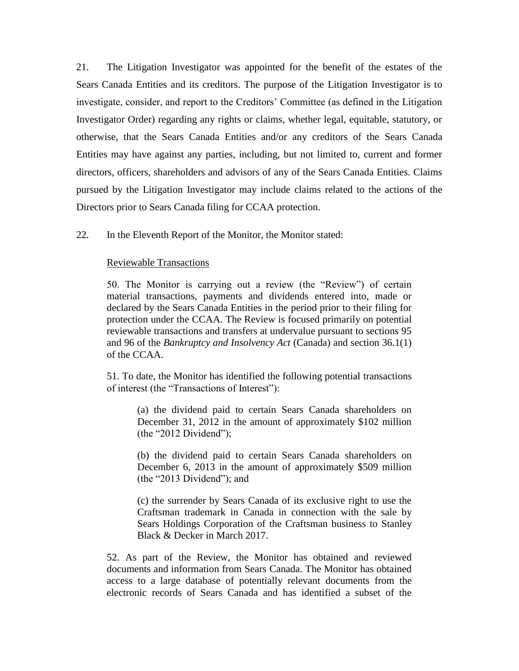21. The Litigation Investigator was appointed for the benefit of the estates of the Sears Canada Entities and its creditors. The purpose of the Litigation Investigator is to investigate, consider, and report to the Creditors' Committee (as defined in the Litigation Investigator Order) regarding any rights or claims, whether legal, equitable, statutory, or otherwise, that the Sears Canada Entities and/or any creditors of the Sears Canada Entities may have against any parties, including, but not limited to, current and former directors, officers, shareholders and advisors of any of the Sears Canada Entities. Claims pursued by the Litigation Investigator may include claims related to the actions of the Directors prior to Sears Canada filing for CCAA protection.

22. In the Eleventh Report of the Monitor, the Monitor stated:

#### Reviewable Transactions

50. The Monitor is carrying out a review (the "Review") of certain material transactions, payments and dividends entered into, made or declared by the Sears Canada Entities in the period prior to their filing for protection under the CCAA. The Review is focused primarily on potential reviewable transactions and transfers at undervalue pursuant to sections 95 and 96 of the *Bankruptcy and Insolvency Act* (Canada) and section 36.1(1) of the CCAA.

51. To date, the Monitor has identified the following potential transactions of interest (the "Transactions of Interest"):

(a) the dividend paid to certain Sears Canada shareholders on December 31, 2012 in the amount of approximately \$102 million (the "2012 Dividend");

(b) the dividend paid to certain Sears Canada shareholders on December 6, 2013 in the amount of approximately \$509 million (the "2013 Dividend"); and

(c) the surrender by Sears Canada of its exclusive right to use the Craftsman trademark in Canada in connection with the sale by Sears Holdings Corporation of the Craftsman business to Stanley Black & Decker in March 2017.

52. As part of the Review, the Monitor has obtained and reviewed documents and information from Sears Canada. The Monitor has obtained access to a large database of potentially relevant documents from the electronic records of Sears Canada and has identified a subset of the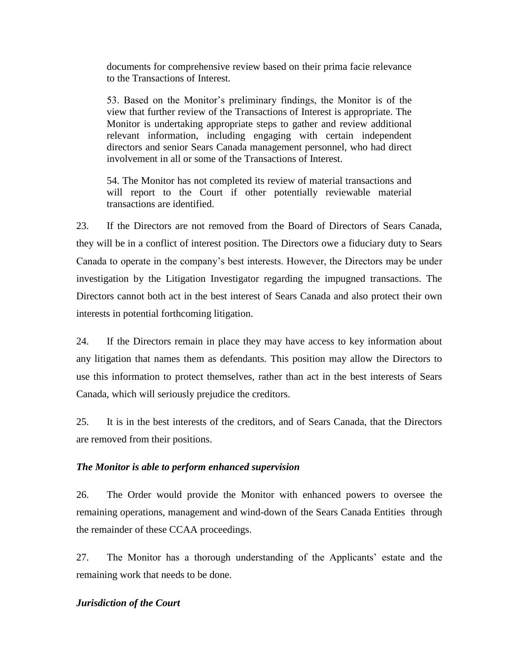documents for comprehensive review based on their prima facie relevance to the Transactions of Interest.

53. Based on the Monitor's preliminary findings, the Monitor is of the view that further review of the Transactions of Interest is appropriate. The Monitor is undertaking appropriate steps to gather and review additional relevant information, including engaging with certain independent directors and senior Sears Canada management personnel, who had direct involvement in all or some of the Transactions of Interest.

54. The Monitor has not completed its review of material transactions and will report to the Court if other potentially reviewable material transactions are identified.

23. If the Directors are not removed from the Board of Directors of Sears Canada, they will be in a conflict of interest position. The Directors owe a fiduciary duty to Sears Canada to operate in the company's best interests. However, the Directors may be under investigation by the Litigation Investigator regarding the impugned transactions. The Directors cannot both act in the best interest of Sears Canada and also protect their own interests in potential forthcoming litigation.

24. If the Directors remain in place they may have access to key information about any litigation that names them as defendants. This position may allow the Directors to use this information to protect themselves, rather than act in the best interests of Sears Canada, which will seriously prejudice the creditors.

25. It is in the best interests of the creditors, and of Sears Canada, that the Directors are removed from their positions.

## *The Monitor is able to perform enhanced supervision*

26. The Order would provide the Monitor with enhanced powers to oversee the remaining operations, management and wind-down of the Sears Canada Entities through the remainder of these CCAA proceedings.

27. The Monitor has a thorough understanding of the Applicants' estate and the remaining work that needs to be done.

## *Jurisdiction of the Court*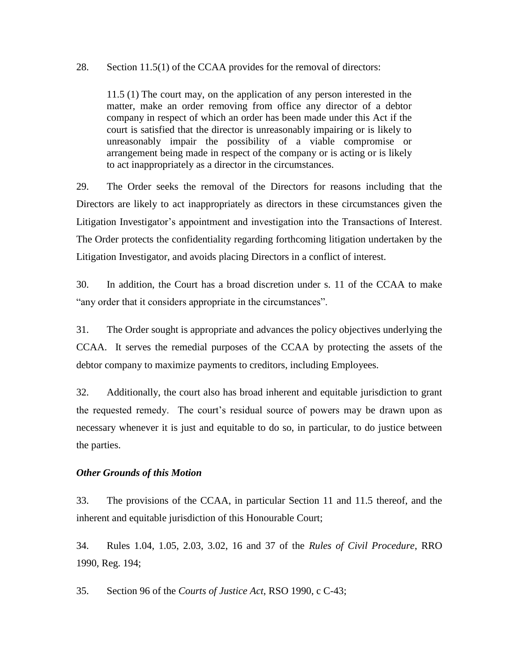#### 28. Section 11.5(1) of the CCAA provides for the removal of directors:

11.5 (1) The court may, on the application of any person interested in the matter, make an order removing from office any director of a debtor company in respect of which an order has been made under this Act if the court is satisfied that the director is unreasonably impairing or is likely to unreasonably impair the possibility of a viable compromise or arrangement being made in respect of the company or is acting or is likely to act inappropriately as a director in the circumstances.

29. The Order seeks the removal of the Directors for reasons including that the Directors are likely to act inappropriately as directors in these circumstances given the Litigation Investigator's appointment and investigation into the Transactions of Interest. The Order protects the confidentiality regarding forthcoming litigation undertaken by the Litigation Investigator, and avoids placing Directors in a conflict of interest.

30. In addition, the Court has a broad discretion under s. 11 of the CCAA to make "any order that it considers appropriate in the circumstances".

31. The Order sought is appropriate and advances the policy objectives underlying the CCAA. It serves the remedial purposes of the CCAA by protecting the assets of the debtor company to maximize payments to creditors, including Employees.

32. Additionally, the court also has broad inherent and equitable jurisdiction to grant the requested remedy. The court's residual source of powers may be drawn upon as necessary whenever it is just and equitable to do so, in particular, to do justice between the parties.

## *Other Grounds of this Motion*

33. The provisions of the CCAA, in particular Section 11 and 11.5 thereof, and the inherent and equitable jurisdiction of this Honourable Court;

34. Rules 1.04, 1.05, 2.03, 3.02, 16 and 37 of the *Rules of Civil Procedure*, RRO 1990, Reg. 194;

35. Section 96 of the *Courts of Justice Act*, RSO 1990, c C-43;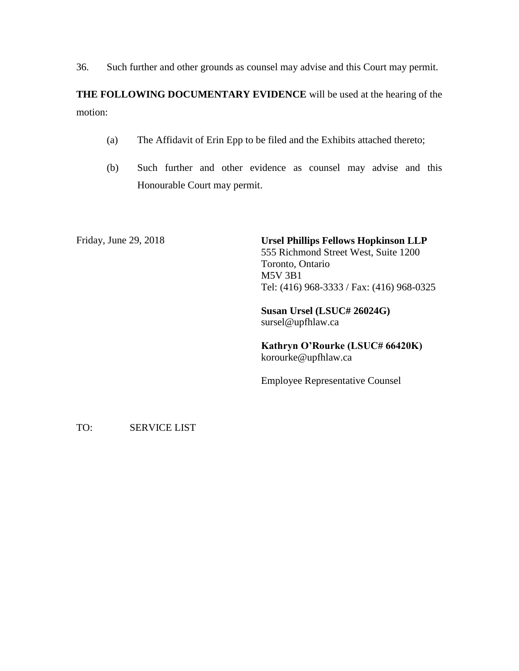36. Such further and other grounds as counsel may advise and this Court may permit.

**THE FOLLOWING DOCUMENTARY EVIDENCE** will be used at the hearing of the motion:

- (a) The Affidavit of Erin Epp to be filed and the Exhibits attached thereto;
- (b) Such further and other evidence as counsel may advise and this Honourable Court may permit.

Friday, June 29, 2018 **Ursel Phillips Fellows Hopkinson LLP** 555 Richmond Street West, Suite 1200 Toronto, Ontario M5V 3B1 Tel: (416) 968-3333 / Fax: (416) 968-0325

> **Susan Ursel (LSUC# 26024G)** sursel@upfhlaw.ca

**Kathryn O'Rourke (LSUC# 66420K)** korourke@upfhlaw.ca

Employee Representative Counsel

TO: SERVICE LIST